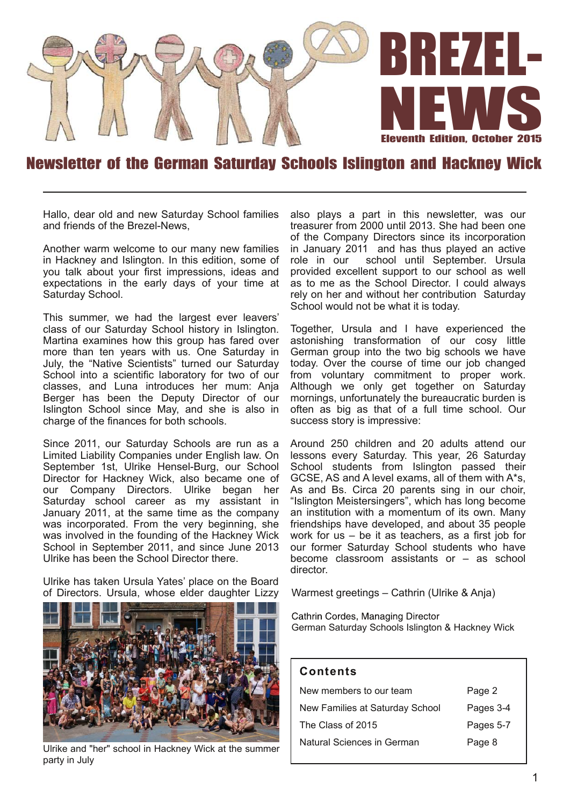

### Newsletter of the German Saturday Schools Islington and Hackney Wick

Hallo, dear old and new Saturday School families and friends of the Brezel-News,

Another warm welcome to our many new families in Hackney and Islington. In this edition, some of you talk about your first impressions, ideas and expectations in the early days of your time at Saturday School.

This summer, we had the largest ever leavers' class of our Saturday School history in Islington. Martina examines how this group has fared over more than ten years with us. One Saturday in July, the "Native Scientists" turned our Saturday School into a scientific laboratory for two of our classes, and Luna introduces her mum: Anja Berger has been the Deputy Director of our Islington School since May, and she is also in charge of the finances for both schools.

Since 2011, our Saturday Schools are run as a Limited Liability Companies under English law. On September 1st, Ulrike Hensel-Burg, our School Director for Hackney Wick, also became one of our Company Directors. Ulrike began her Saturday school career as my assistant in January 2011, at the same time as the company was incorporated. From the very beginning, she was involved in the founding of the Hackney Wick School in September 2011, and since June 2013 Ulrike has been the School Director there.

Ulrike has taken Ursula Yates' place on the Board of Directors. Ursula, whose elder daughter Lizzy



Ulrike and "her" school in Hackney Wick at the summer party in July

also plays a part in this newsletter, was our treasurer from 2000 until 2013. She had been one of the Company Directors since its incorporation in January 2011 and has thus played an active role in our school until September. Ursula provided excellent support to our school as well as to me as the School Director. I could always rely on her and without her contribution Saturday School would not be what it is today.

Together, Ursula and I have experienced the astonishing transformation of our cosy little German group into the two big schools we have today. Over the course of time our job changed from voluntary commitment to proper work. Although we only get together on Saturday mornings, unfortunately the bureaucratic burden is often as big as that of a full time school. Our success story is impressive:

Around 250 children and 20 adults attend our lessons every Saturday. This year, 26 Saturday School students from Islington passed their GCSE, AS and A level exams, all of them with A\*s, As and Bs. Circa 20 parents sing in our choir, "Islington Meistersingers", which has long become an institution with a momentum of its own. Many friendships have developed, and about 35 people work for us – be it as teachers, as a first job for our former Saturday School students who have become classroom assistants or – as school director.

Warmest greetings – Cathrin (Ulrike & Anja)

Cathrin Cordes, Managing Director German Saturday Schools Islington & Hackney Wick

#### **Con ten ts**

| Page 2    |
|-----------|
| Pages 3-4 |
| Pages 5-7 |
| Page 8    |
|           |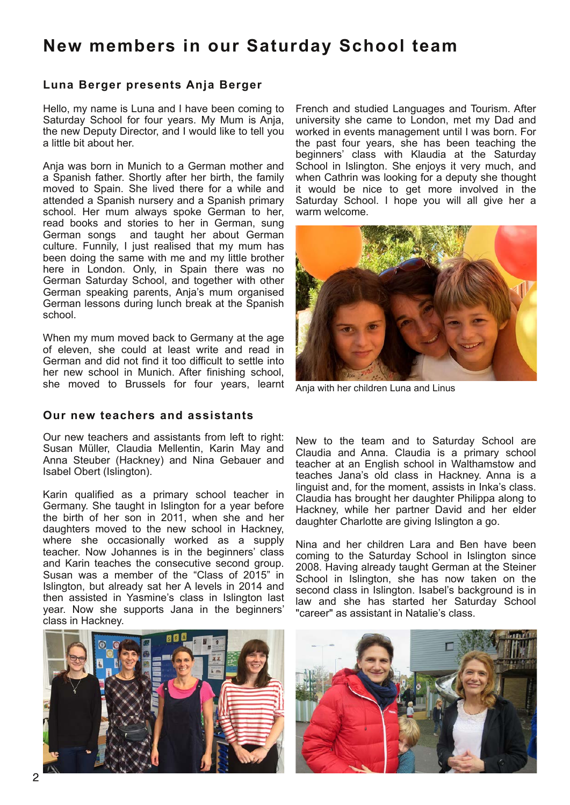# **New members in our Saturday School team**

#### **Luna Berger presen ts Anja Berger**

Hello, my name is Luna and I have been coming to Saturday School for four years. My Mum is Anja, the new Deputy Director, and I would like to tell you a little bit about her.

Anja was born in Munich to a German mother and a Spanish father. Shortly after her birth, the family moved to Spain. She lived there for a while and attended a Spanish nursery and a Spanish primary school. Her mum always spoke German to her, read books and stories to her in German, sung German songs and taught her about German culture. Funnily, I just realised that my mum has been doing the same with me and my little brother here in London. Only, in Spain there was no German Saturday School, and together with other German speaking parents, Anja's mum organised German lessons during lunch break at the Spanish school.

When my mum moved back to Germany at the age of eleven, she could at least write and read in German and did not find it too difficult to settle into her new school in Munich. After finishing school, she moved to Brussels for four years, learnt

#### **Our new teachers and assistants**

Our new teachers and assistants from left to right: Susan Müller, Claudia Mellentin, Karin May and Anna Steuber (Hackney) and Nina Gebauer and Isabel Obert (Islington).

Karin qualified as a primary school teacher in Germany. She taught in Islington for a year before the birth of her son in 2011, when she and her daughters moved to the new school in Hackney, where she occasionally worked as a supply teacher. Now Johannes is in the beginners' class and Karin teaches the consecutive second group. Susan was a member of the "Class of 2015" in Islington, but already sat her A levels in 2014 and then assisted in Yasmine's class in Islington last year. Now she supports Jana in the beginners' class in Hackney.

French and studied Languages and Tourism. After university she came to London, met my Dad and worked in events management until I was born. For the past four years, she has been teaching the beginners' class with Klaudia at the Saturday School in Islington. She enjoys it very much, and when Cathrin was looking for a deputy she thought it would be nice to get more involved in the Saturday School. I hope you will all give her a warm welcome.



Anja with her children Luna and Linus

New to the team and to Saturday School are Claudia and Anna. Claudia is a primary school teacher at an English school in Walthamstow and teaches Jana's old class in Hackney. Anna is a linguist and, for the moment, assists in Inka's class. Claudia has brought her daughter Philippa along to Hackney, while her partner David and her elder daughter Charlotte are giving Islington a go.

Nina and her children Lara and Ben have been coming to the Saturday School in Islington since 2008. Having already taught German at the Steiner School in Islington, she has now taken on the second class in Islington. Isabel's background is in law and she has started her Saturday School "career" as assistant in Natalie's class.

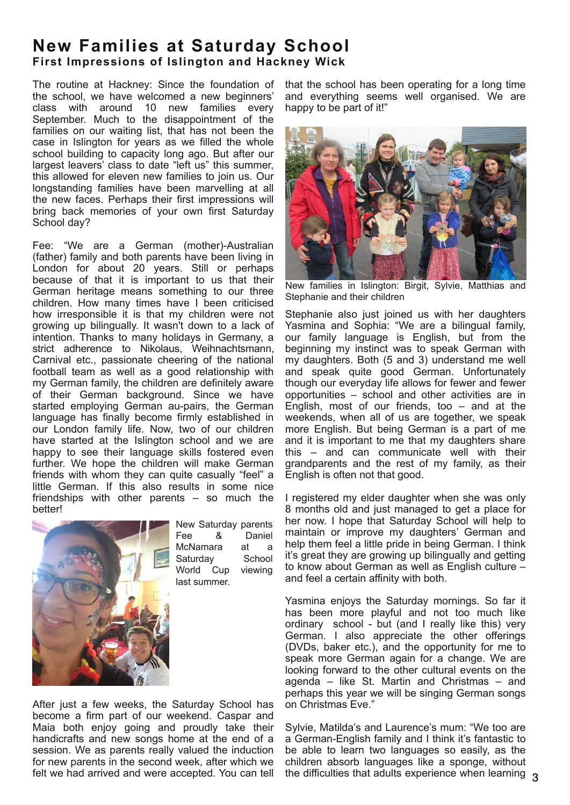## **New Families at Saturday School First Impressions of Islington and Hackney Wick**

The routine at Hackney: Since the foundation of the school, we have welcomed a new beginners' class with around 10 new families every September. Much to the disappointment of the families on our waiting list, that has not been the case in Islington for years as we filled the whole school building to capacity long ago. But after our largest leavers' class to date "left us" this summer, this allowed for eleven new families to join us. Our longstanding families have been marvelling at all the new faces. Perhaps their first impressions will bring back memories of your own first Saturday School day?

Fee: "We are a German (mother)-Australian (father) family and both parents have been living in London for about 20 years. Still or perhaps because of that it is important to us that their German heritage means something to our three children. How many times have I been criticised how irresponsible it is that my children were not growing up bilingually. It wasn't down to a lack of intention. Thanks to many holidays in Germany, a strict adherence to Nikolaus, Weihnachtsmann, Carnival etc., passionate cheering of the national football team as well as a good relationship with my German family, the children are definitely aware of their German background. Since we have started employing German au-pairs, the German language has finally become firmly established in our London family life. Now, two of our children have started at the Islington school and we are happy to see their language skills fostered even further. We hope the children will make German friends with whom they can quite casually "feel" a little German. If this also results in some nice friendships with other parents – so much the better!



New Saturday parents Fee & Daniel McNamara at a Saturday School World Cup viewing last summer.

After just a few weeks, the Saturday School has become a firm part of our weekend. Caspar and Maia both enjoy going and proudly take their handicrafts and new songs home at the end of a session. We as parents really valued the induction for new parents in the second week, after which we felt we had arrived and were accepted. You can tell

that the school has been operating for a long time and everything seems well organised. We are happy to be part of it!"



New families in Islington: Birgit, Sylvie, Matthias and Stephanie and their children

Stephanie also just joined us with her daughters Yasmina and Sophia: "We are a bilingual family, our family language is English, but from the beginning my instinct was to speak German with my daughters. Both (5 and 3) understand me well and speak quite good German. Unfortunately though our everyday life allows for fewer and fewer opportunities – school and other activities are in English, most of our friends, too – and at the weekends, when all of us are together, we speak more English. But being German is a part of me and it is important to me that my daughters share this – and can communicate well with their grandparents and the rest of my family, as their English is often not that good.

I registered my elder daughter when she was only 8 months old and just managed to get a place for her now. I hope that Saturday School will help to maintain or improve my daughters' German and help them feel a little pride in being German. I think it's great they are growing up bilingually and getting to know about German as well as English culture – and feel a certain affinity with both.

Yasmina enjoys the Saturday mornings. So far it has been more playful and not too much like ordinary school - but (and I really like this) very German. I also appreciate the other offerings (DVDs, baker etc.), and the opportunity for me to speak more German again for a change. We are looking forward to the other cultural events on the agenda – like St. Martin and Christmas – and perhaps this year we will be singing German songs on Christmas Eve."

Sylvie, Matilda's and Laurence's mum: "We too are a German-English family and I think it's fantastic to be able to learn two languages so easily, as the children absorb languages like a sponge, without the difficulties that adults experience when learning  $\alpha$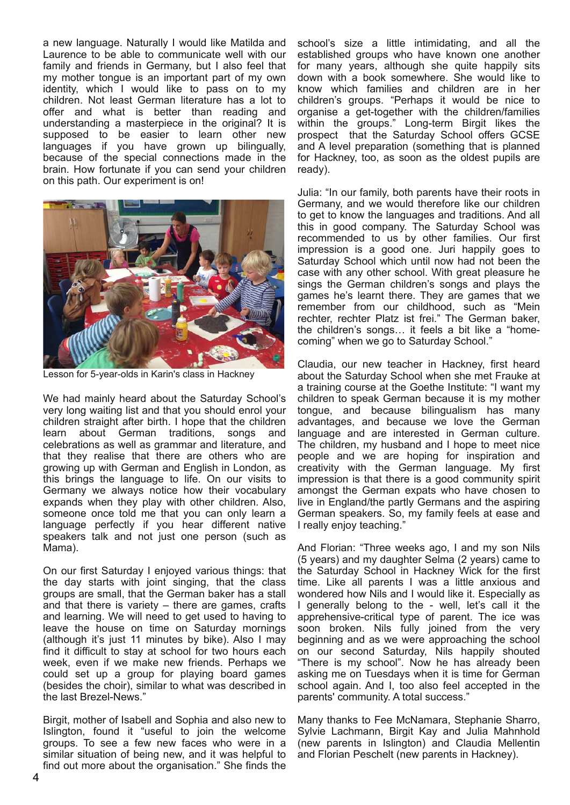a new language. Naturally I would like Matilda and Laurence to be able to communicate well with our family and friends in Germany, but I also feel that my mother tongue is an important part of my own identity, which I would like to pass on to my children. Not least German literature has a lot to offer and what is better than reading and understanding a masterpiece in the original? It is supposed to be easier to learn other new languages if you have grown up bilingually, because of the special connections made in the brain. How fortunate if you can send your children on this path. Our experiment is on!



Lesson for 5-year-olds in Karin's class in Hackney

We had mainly heard about the Saturday School's very long waiting list and that you should enrol your children straight after birth. I hope that the children learn about German traditions, songs and celebrations as well as grammar and literature, and that they realise that there are others who are growing up with German and English in London, as this brings the language to life. On our visits to Germany we always notice how their vocabulary expands when they play with other children. Also, someone once told me that you can only learn a language perfectly if you hear different native speakers talk and not just one person (such as Mama).

On our first Saturday I enjoyed various things: that the day starts with joint singing, that the class groups are small, that the German baker has a stall and that there is variety – there are games, crafts and learning. We will need to get used to having to leave the house on time on Saturday mornings (although it's just 11 minutes by bike). Also I may find it difficult to stay at school for two hours each week, even if we make new friends. Perhaps we could set up a group for playing board games (besides the choir), similar to what was described in the last Brezel-News."

Birgit, mother of Isabell and Sophia and also new to Islington, found it "useful to join the welcome groups. To see a few new faces who were in a similar situation of being new, and it was helpful to find out more about the organisation." She finds the

school's size a little intimidating, and all the established groups who have known one another for many years, although she quite happily sits down with a book somewhere. She would like to know which families and children are in her children's groups. "Perhaps it would be nice to organise a get-together with the children/families within the groups." Long-term Birgit likes the prospect that the Saturday School offers GCSE and A level preparation (something that is planned for Hackney, too, as soon as the oldest pupils are ready).

Julia: "In our family, both parents have their roots in Germany, and we would therefore like our children to get to know the languages and traditions. And all this in good company. The Saturday School was recommended to us by other families. Our first impression is a good one. Juri happily goes to Saturday School which until now had not been the case with any other school. With great pleasure he sings the German children's songs and plays the games he's learnt there. They are games that we remember from our childhood, such as "Mein rechter, rechter Platz ist frei." The German baker, the children's songs… it feels a bit like a "homecoming" when we go to Saturday School."

Claudia, our new teacher in Hackney, first heard about the Saturday School when she met Frauke at a training course at the Goethe Institute: "I want my children to speak German because it is my mother tongue, and because bilingualism has many advantages, and because we love the German language and are interested in German culture. The children, my husband and I hope to meet nice people and we are hoping for inspiration and creativity with the German language. My first impression is that there is a good community spirit amongst the German expats who have chosen to live in England/the partly Germans and the aspiring German speakers. So, my family feels at ease and I really enjoy teaching."

And Florian: "Three weeks ago, I and my son Nils (5 years) and my daughter Selma (2 years) came to the Saturday School in Hackney Wick for the first time. Like all parents I was a little anxious and wondered how Nils and I would like it. Especially as I generally belong to the - well, let's call it the apprehensive-critical type of parent. The ice was soon broken. Nils fully joined from the very beginning and as we were approaching the school on our second Saturday, Nils happily shouted "There is my school". Now he has already been asking me on Tuesdays when it is time for German school again. And I, too also feel accepted in the parents' community. A total success."

Many thanks to Fee McNamara, Stephanie Sharro, Sylvie Lachmann, Birgit Kay and Julia Mahnhold (new parents in Islington) and Claudia Mellentin and Florian Peschelt (new parents in Hackney).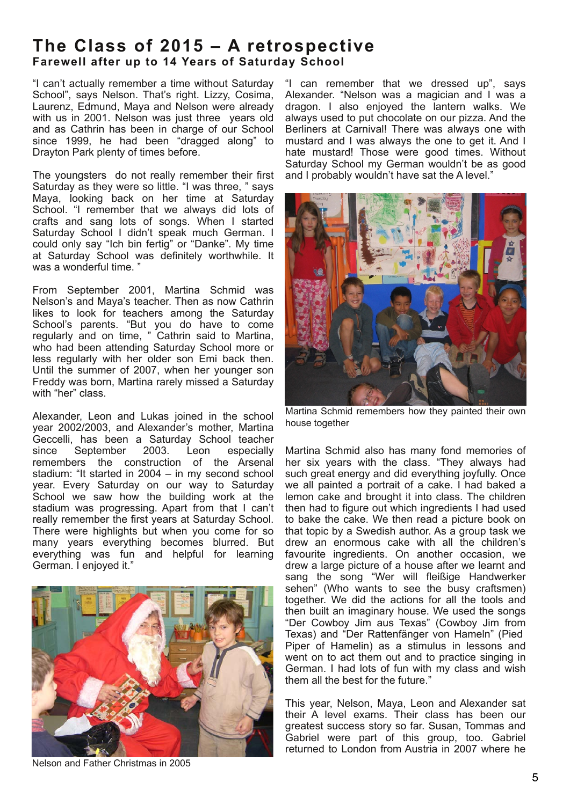### The Class of 2015 - A retrospective **Farewell after up to 14 Years of Saturday School**

"I can't actually remember a time without Saturday School", says Nelson. That's right. Lizzy, Cosima, Laurenz, Edmund, Maya and Nelson were already with us in 2001. Nelson was just three years old and as Cathrin has been in charge of our School since 1999, he had been "dragged along" to Drayton Park plenty of times before.

The youngsters do not really remember their first Saturday as they were so little. "I was three, " says Maya, looking back on her time at Saturday School. "I remember that we always did lots of crafts and sang lots of songs. When I started Saturday School I didn't speak much German. I could only say "Ich bin fertig" or "Danke". My time at Saturday School was definitely worthwhile. It was a wonderful time. "

From September 2001, Martina Schmid was Nelson's and Maya's teacher. Then as now Cathrin likes to look for teachers among the Saturday School's parents. "But you do have to come regularly and on time, " Cathrin said to Martina, who had been attending Saturday School more or less regularly with her older son Emi back then. Until the summer of 2007, when her younger son Freddy was born, Martina rarely missed a Saturday with "her" class.

Alexander, Leon and Lukas joined in the school year 2002/2003, and Alexander's mother, Martina Geccelli, has been a Saturday School teacher<br>since September 2003. Leon especially since September 2003. Leon especially remembers the construction of the Arsenal stadium: "It started in 2004 – in my second school year. Every Saturday on our way to Saturday School we saw how the building work at the stadium was progressing. Apart from that I can't really remember the first years at Saturday School. There were highlights but when you come for so many years everything becomes blurred. But everything was fun and helpful for learning German. I enjoyed it."



Nelson and Father Christmas in 2005

"I can remember that we dressed up", says Alexander. "Nelson was a magician and I was a dragon. I also enjoyed the lantern walks. We always used to put chocolate on our pizza. And the Berliners at Carnival! There was always one with mustard and I was always the one to get it. And I hate mustard! Those were good times. Without Saturday School my German wouldn't be as good and I probably wouldn't have sat the A level."



Martina Schmid remembers how they painted their own house together

Martina Schmid also has many fond memories of her six years with the class. "They always had such great energy and did everything joyfully. Once we all painted a portrait of a cake. I had baked a lemon cake and brought it into class. The children then had to figure out which ingredients I had used to bake the cake. We then read a picture book on that topic by a Swedish author. As a group task we drew an enormous cake with all the children's favourite ingredients. On another occasion, we drew a large picture of a house after we learnt and sang the song "Wer will fleißige Handwerker sehen" (Who wants to see the busy craftsmen) together. We did the actions for all the tools and then built an imaginary house. We used the songs "Der Cowboy Jim aus Texas" (Cowboy Jim from Texas) and "Der Rattenfänger von Hameln" (Pied Piper of Hamelin) as a stimulus in lessons and went on to act them out and to practice singing in German. I had lots of fun with my class and wish them all the best for the future."

This year, Nelson, Maya, Leon and Alexander sat their A level exams. Their class has been our greatest success story so far. Susan, Tommas and Gabriel were part of this group, too. Gabriel returned to London from Austria in 2007 where he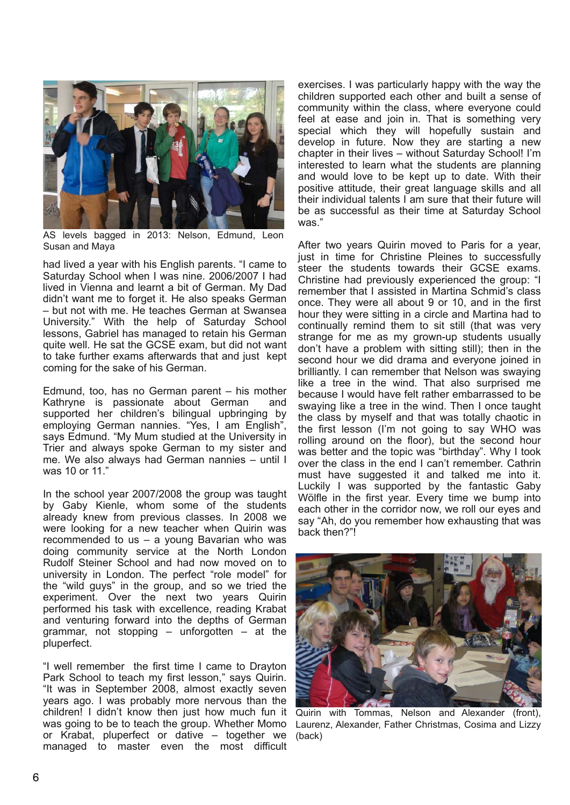

AS levels bagged in 2013: Nelson, Edmund, Leon Susan and Maya

had lived a year with his English parents. "I came to Saturday School when I was nine. 2006/2007 I had lived in Vienna and learnt a bit of German. My Dad didn't want me to forget it. He also speaks German – but not with me. He teaches German at Swansea University." With the help of Saturday School lessons, Gabriel has managed to retain his German quite well. He sat the GCSE exam, but did not want to take further exams afterwards that and just kept coming for the sake of his German.

Edmund, too, has no German parent – his mother Kathryne is passionate about German and supported her children's bilingual upbringing by employing German nannies. "Yes, I am English", says Edmund. "My Mum studied at the University in Trier and always spoke German to my sister and me. We also always had German nannies – until I was 10 or 11."

In the school year 2007/2008 the group was taught by Gaby Kienle, whom some of the students already knew from previous classes. In 2008 we were looking for a new teacher when Quirin was recommended to us – a young Bavarian who was doing community service at the North London Rudolf Steiner School and had now moved on to university in London. The perfect "role model" for the "wild guys" in the group, and so we tried the experiment. Over the next two years Quirin performed his task with excellence, reading Krabat and venturing forward into the depths of German grammar, not stopping  $-$  unforgotten  $-$  at the pluperfect.

"I well remember the first time I came to Drayton Park School to teach my first lesson," says Quirin. "It was in September 2008, almost exactly seven years ago. I was probably more nervous than the children! I didn't know then just how much fun it was going to be to teach the group. Whether Momo or Krabat, pluperfect or dative – together we managed to master even the most difficult

exercises. I was particularly happy with the way the children supported each other and built a sense of community within the class, where everyone could feel at ease and join in. That is something very special which they will hopefully sustain and develop in future. Now they are starting a new chapter in their lives – without Saturday School! I'm interested to learn what the students are planning and would love to be kept up to date. With their positive attitude, their great language skills and all their individual talents I am sure that their future will be as successful as their time at Saturday School was."

After two years Quirin moved to Paris for a year, just in time for Christine Pleines to successfully steer the students towards their GCSE exams. Christine had previously experienced the group: "I remember that I assisted in Martina Schmid's class once. They were all about 9 or 10, and in the first hour they were sitting in a circle and Martina had to continually remind them to sit still (that was very strange for me as my grown-up students usually don't have a problem with sitting still); then in the second hour we did drama and everyone joined in brilliantly. I can remember that Nelson was swaying like a tree in the wind. That also surprised me because I would have felt rather embarrassed to be swaying like a tree in the wind. Then I once taught the class by myself and that was totally chaotic in the first lesson (I'm not going to say WHO was rolling around on the floor), but the second hour was better and the topic was "birthday". Why I took over the class in the end I can't remember. Cathrin must have suggested it and talked me into it. Luckily I was supported by the fantastic Gaby Wölfle in the first year. Every time we bump into each other in the corridor now, we roll our eyes and say "Ah, do you remember how exhausting that was back then?"!



Quirin with Tommas, Nelson and Alexander (front), Laurenz, Alexander, Father Christmas, Cosima and Lizzy (back)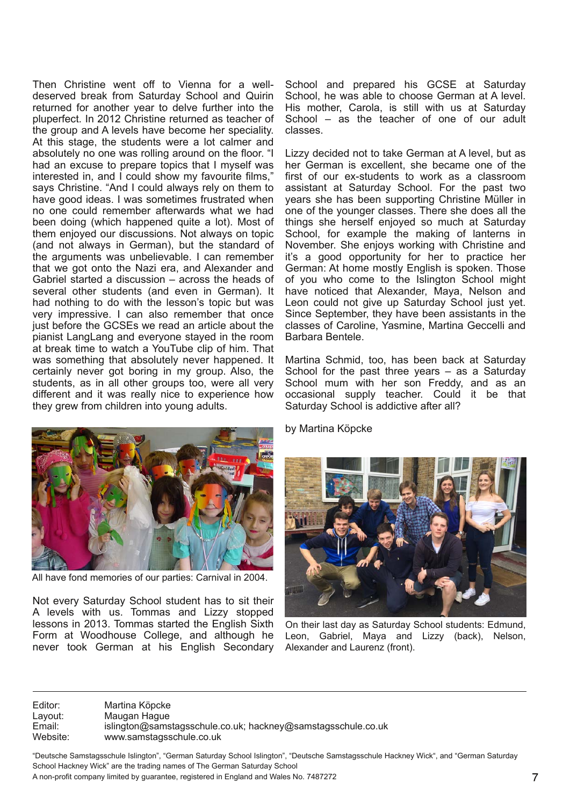Then Christine went off to Vienna for a welldeserved break from Saturday School and Quirin returned for another year to delve further into the pluperfect. In 2012 Christine returned as teacher of the group and A levels have become her speciality. At this stage, the students were a lot calmer and absolutely no one was rolling around on the floor. "I had an excuse to prepare topics that I myself was interested in, and I could show my favourite films," says Christine. "And I could always rely on them to have good ideas. I was sometimes frustrated when no one could remember afterwards what we had been doing (which happened quite a lot). Most of them enjoyed our discussions. Not always on topic (and not always in German), but the standard of the arguments was unbelievable. I can remember that we got onto the Nazi era, and Alexander and Gabriel started a discussion – across the heads of several other students (and even in German). It had nothing to do with the lesson's topic but was very impressive. I can also remember that once just before the GCSEs we read an article about the pianist LangLang and everyone stayed in the room at break time to watch a YouTube clip of him. That was something that absolutely never happened. It certainly never got boring in my group. Also, the students, as in all other groups too, were all very different and it was really nice to experience how they grew from children into young adults.



All have fond memories of our parties: Carnival in 2004.

Not every Saturday School student has to sit their A levels with us. Tommas and Lizzy stopped lessons in 2013. Tommas started the English Sixth Form at Woodhouse College, and although he never took German at his English Secondary School and prepared his GCSE at Saturday School, he was able to choose German at A level. His mother, Carola, is still with us at Saturday School – as the teacher of one of our adult classes.

Lizzy decided not to take German at A level, but as her German is excellent, she became one of the first of our ex-students to work as a classroom assistant at Saturday School. For the past two years she has been supporting Christine Müller in one of the younger classes. There she does all the things she herself enjoyed so much at Saturday School, for example the making of lanterns in November. She enjoys working with Christine and it's a good opportunity for her to practice her German: At home mostly English is spoken. Those of you who come to the Islington School might have noticed that Alexander, Maya, Nelson and Leon could not give up Saturday School just yet. Since September, they have been assistants in the classes of Caroline, Yasmine, Martina Geccelli and Barbara Bentele.

Martina Schmid, too, has been back at Saturday School for the past three years – as a Saturday School mum with her son Freddy, and as an occasional supply teacher. Could it be that Saturday School is addictive after all?

by Martina Köpcke



On their last day as Saturday School students: Edmund, Leon, Gabriel, Maya and Lizzy (back), Nelson, Alexander and Laurenz (front).

Editor: Martina Köpcke Layout: Maugan Hague<br>
Email: islington@sams Email: islington@samstagsschule.co.uk; hackney@samstagsschule.co.uk<br>Website: www.samstagsschule.co.uk www.samstagsschule.co.uk

"Deutsche Samstagsschule Islington", "German Saturday School Islington", "Deutsche Samstagsschule Hackney Wick", and "German Saturday School Hackney Wick" are the trading names of The German Saturday School A non-profit company limited by guarantee, registered in England and Wales No. 7487272